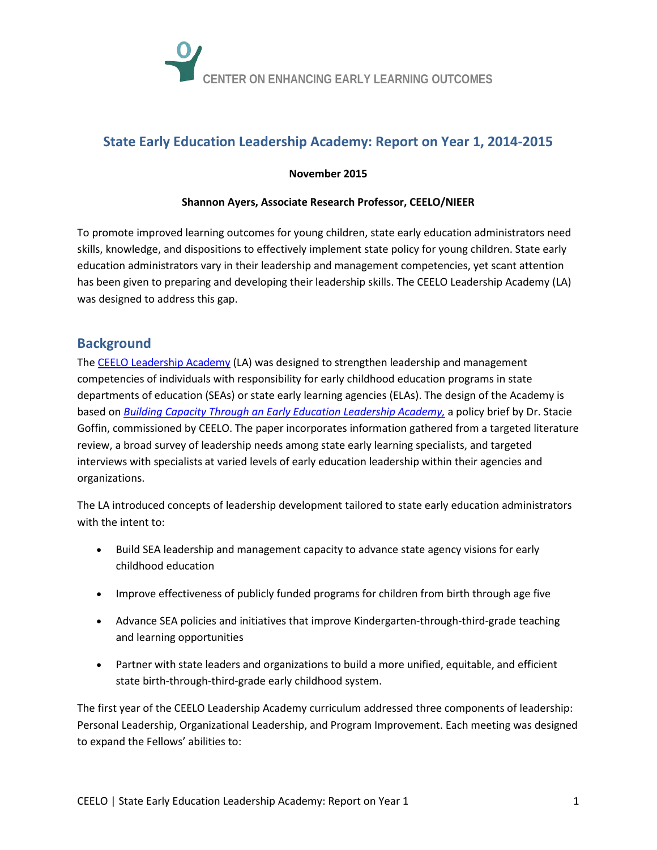

# **State Early Education Leadership Academy: Report on Year 1, 2014-2015**

### **November 2015**

#### **Shannon Ayers, Associate Research Professor, CEELO/NIEER**

To promote improved learning outcomes for young children, state early education administrators need skills, knowledge, and dispositions to effectively implement state policy for young children. State early education administrators vary in their leadership and management competencies, yet scant attention has been given to preparing and developing their leadership skills. The CEELO Leadership Academy (LA) was designed to address this gap.

## **Background**

The [CEELO Leadership Academy](http://ceelo.org/about-leadership-academy/) (LA) was designed to strengthen leadership and management competencies of individuals with responsibility for early childhood education programs in state departments of education (SEAs) or state early learning agencies (ELAs). The design of the Academy is based on *[Building Capacity Through an Early Education Leadership Academy,](http://ceelo.org/wp-content/uploads/2013/12/EELA_Goffin_WEB.pdf)* a policy brief by Dr. Stacie Goffin, commissioned by CEELO. The paper incorporates information gathered from a targeted literature review, a broad survey of leadership needs among state early learning specialists, and targeted interviews with specialists at varied levels of early education leadership within their agencies and organizations.

The LA introduced concepts of leadership development tailored to state early education administrators with the intent to:

- Build SEA leadership and management capacity to advance state agency visions for early childhood education
- Improve effectiveness of publicly funded programs for children from birth through age five
- Advance SEA policies and initiatives that improve Kindergarten-through-third-grade teaching and learning opportunities
- Partner with state leaders and organizations to build a more unified, equitable, and efficient state birth-through-third-grade early childhood system.

The first year of the CEELO Leadership Academy curriculum addressed three components of leadership: Personal Leadership, Organizational Leadership, and Program Improvement. Each meeting was designed to expand the Fellows' abilities to: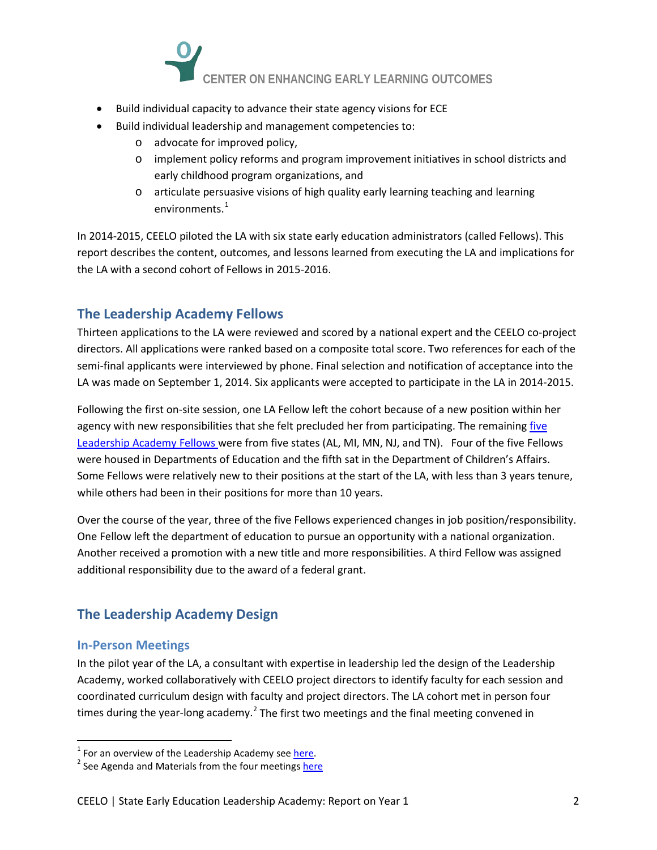

- Build individual capacity to advance their state agency visions for ECE
- Build individual leadership and management competencies to:
	- o advocate for improved policy,
	- o implement policy reforms and program improvement initiatives in school districts and early childhood program organizations, and
	- o articulate persuasive visions of high quality early learning teaching and learning environments.<sup>[1](#page-1-0)</sup>

In 2014-2015, CEELO piloted the LA with six state early education administrators (called Fellows). This report describes the content, outcomes, and lessons learned from executing the LA and implications for the LA with a second cohort of Fellows in 2015-2016.

# **The Leadership Academy Fellows**

Thirteen applications to the LA were reviewed and scored by a national expert and the CEELO co-project directors. All applications were ranked based on a composite total score. Two references for each of the semi-final applicants were interviewed by phone. Final selection and notification of acceptance into the LA was made on September 1, 2014. Six applicants were accepted to participate in the LA in 2014-2015.

Following the first on-site session, one LA Fellow left the cohort because of a new position within her agency with new responsibilities that she felt precluded her from participating. The remainin[g five](http://ceelo.org/2014-15academy-cohort/)  [Leadership Academy Fellows](http://ceelo.org/2014-15academy-cohort/) were from five states (AL, MI, MN, NJ, and TN). Four of the five Fellows were housed in Departments of Education and the fifth sat in the Department of Children's Affairs. Some Fellows were relatively new to their positions at the start of the LA, with less than 3 years tenure, while others had been in their positions for more than 10 years.

Over the course of the year, three of the five Fellows experienced changes in job position/responsibility. One Fellow left the department of education to pursue an opportunity with a national organization. Another received a promotion with a new title and more responsibilities. A third Fellow was assigned additional responsibility due to the award of a federal grant.

# **The Leadership Academy Design**

### **In-Person Meetings**

In the pilot year of the LA, a consultant with expertise in leadership led the design of the Leadership Academy, worked collaboratively with CEELO project directors to identify faculty for each session and coordinated curriculum design with faculty and project directors. The LA cohort met in person four times during the year-long academy.<sup>[2](#page-1-1)</sup> The first two meetings and the final meeting convened in

<span id="page-1-0"></span><sup>&</sup>lt;sup>1</sup> For an overview of the Leadership Academy see [here.](http://ceelo.org/wp-content/uploads/2015/03/FAQ_CoHORT2.pdf)<br><sup>2</sup> See Agenda and Materials from the four meeting[s here](http://ceelo.org/2014-15academy-cohort/)

<span id="page-1-1"></span>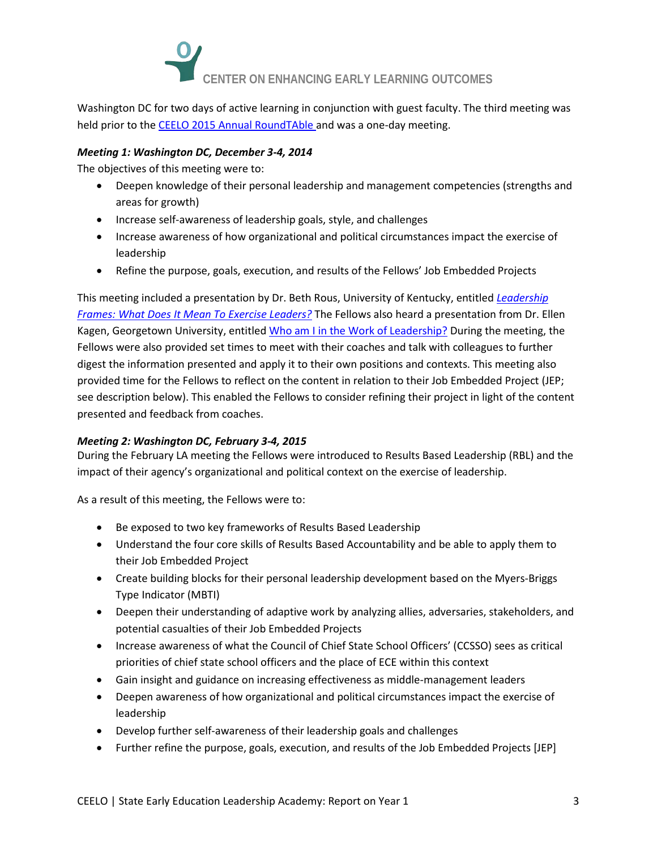

Washington DC for two days of active learning in conjunction with guest faculty. The third meeting was held prior to th[e CEELO 2015 Annual RoundTAble a](http://ceelo.org/2015-roundtable/)nd was a one-day meeting.

### *Meeting 1: Washington DC, December 3-4, 2014*

The objectives of this meeting were to:

- Deepen knowledge of their personal leadership and management competencies (strengths and areas for growth)
- Increase self-awareness of leadership goals, style, and challenges
- Increase awareness of how organizational and political circumstances impact the exercise of leadership
- Refine the purpose, goals, execution, and results of the Fellows' Job Embedded Projects

This meeting included a presentation by Dr. Beth Rous, University of Kentucky, entitled *[Leadership](http://ceelo.org/wp-content/uploads/2015/01/BRslides.pdf)  [Frames: What Does](http://ceelo.org/wp-content/uploads/2015/01/BRslides.pdf) It Mean To Exercise Leaders?* The Fellows also heard a presentation from Dr. Ellen Kagen, Georgetown University, entitle[d Who am I in the Work of Leadership?](http://ceelo.org/wp-content/uploads/2015/01/EKslides.pdf) During the meeting, the Fellows were also provided set times to meet with their coaches and talk with colleagues to further digest the information presented and apply it to their own positions and contexts. This meeting also provided time for the Fellows to reflect on the content in relation to their Job Embedded Project (JEP; see description below). This enabled the Fellows to consider refining their project in light of the content presented and feedback from coaches.

### *Meeting 2: Washington DC, February 3-4, 2015*

During the February LA meeting the Fellows were introduced to Results Based Leadership (RBL) and the impact of their agency's organizational and political context on the exercise of leadership.

As a result of this meeting, the Fellows were to:

- Be exposed to two key frameworks of Results Based Leadership
- Understand the four core skills of Results Based Accountability and be able to apply them to their Job Embedded Project
- Create building blocks for their personal leadership development based on the Myers-Briggs Type Indicator (MBTI)
- Deepen their understanding of adaptive work by analyzing allies, adversaries, stakeholders, and potential casualties of their Job Embedded Projects
- Increase awareness of what the Council of Chief State School Officers' (CCSSO) sees as critical priorities of chief state school officers and the place of ECE within this context
- Gain insight and guidance on increasing effectiveness as middle-management leaders
- Deepen awareness of how organizational and political circumstances impact the exercise of leadership
- Develop further self-awareness of their leadership goals and challenges
- Further refine the purpose, goals, execution, and results of the Job Embedded Projects [JEP]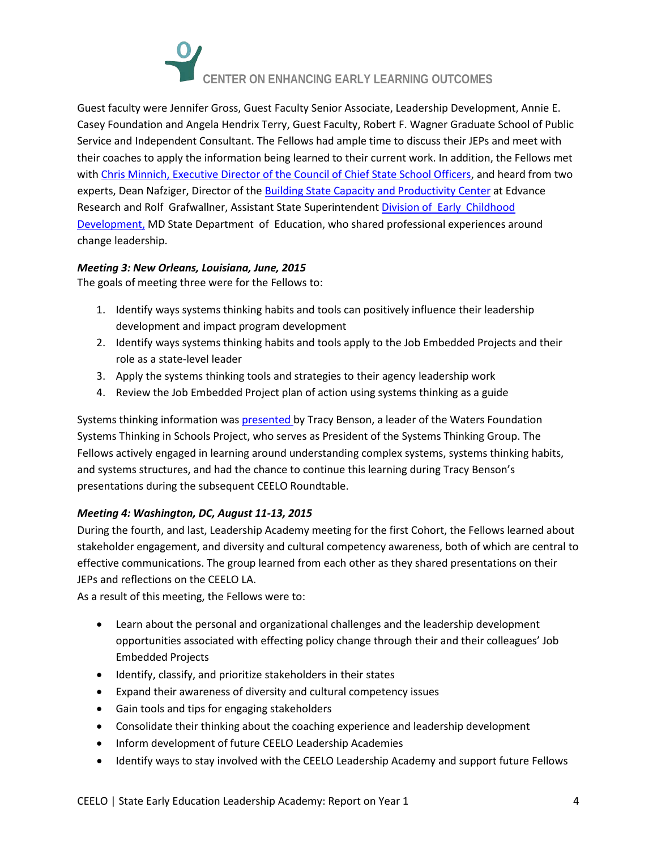

Guest faculty were Jennifer Gross, Guest Faculty Senior Associate, Leadership Development, Annie E. Casey Foundation and Angela Hendrix Terry, Guest Faculty, Robert F. Wagner Graduate School of Public Service and Independent Consultant. The Fellows had ample time to discuss their JEPs and meet with their coaches to apply the information being learned to their current work. In addition, the Fellows met with [Chris Minnich, Executive Director of the Council of Chief State School Officers,](http://www.ccsso.org/Who_We_Are/Leadership_Team.html) and heard from two experts, Dean Nafziger, Director of the [Building State Capacity and Productivity Center](http://www.bscpcenter.org/) at Edvance Research and Rolf Grafwallner, Assistant State Superintendent Division [of Early Childhood](http://www.marylandpublicschools.org/msde/divisions/child_care/program/early_child.html)  [Development,](http://www.marylandpublicschools.org/msde/divisions/child_care/program/early_child.html) MD State Department of Education, who shared professional experiences around change leadership.

### *Meeting 3: New Orleans, Louisiana, June, 2015*

The goals of meeting three were for the Fellows to:

- 1. Identify ways systems thinking habits and tools can positively influence their leadership development and impact program development
- 2. Identify ways systems thinking habits and tools apply to the Job Embedded Projects and their role as a state-level leader
- 3. Apply the systems thinking tools and strategies to their agency leadership work
- 4. Review the Job Embedded Project plan of action using systems thinking as a guide

Systems thinking information wa[s presented b](http://ceelo.org/wp-content/uploads/2015/06/CEELO_Systems_Thinking_Workbook.pdf)y Tracy Benson, a leader of the Waters Foundation Systems Thinking in Schools Project, who serves as President of the Systems Thinking Group. The Fellows actively engaged in learning around understanding complex systems, systems thinking habits, and systems structures, and had the chance to continue this learning during Tracy Benson's presentations during the subsequent CEELO Roundtable.

### *Meeting 4: Washington, DC, August 11-13, 2015*

During the fourth, and last, Leadership Academy meeting for the first Cohort, the Fellows learned about stakeholder engagement, and diversity and cultural competency awareness, both of which are central to effective communications. The group learned from each other as they shared presentations on their JEPs and reflections on the CEELO LA.

As a result of this meeting, the Fellows were to:

- Learn about the personal and organizational challenges and the leadership development opportunities associated with effecting policy change through their and their colleagues' Job Embedded Projects
- Identify, classify, and prioritize stakeholders in their states
- Expand their awareness of diversity and cultural competency issues
- Gain tools and tips for engaging stakeholders
- Consolidate their thinking about the coaching experience and leadership development
- Inform development of future CEELO Leadership Academies
- Identify ways to stay involved with the CEELO Leadership Academy and support future Fellows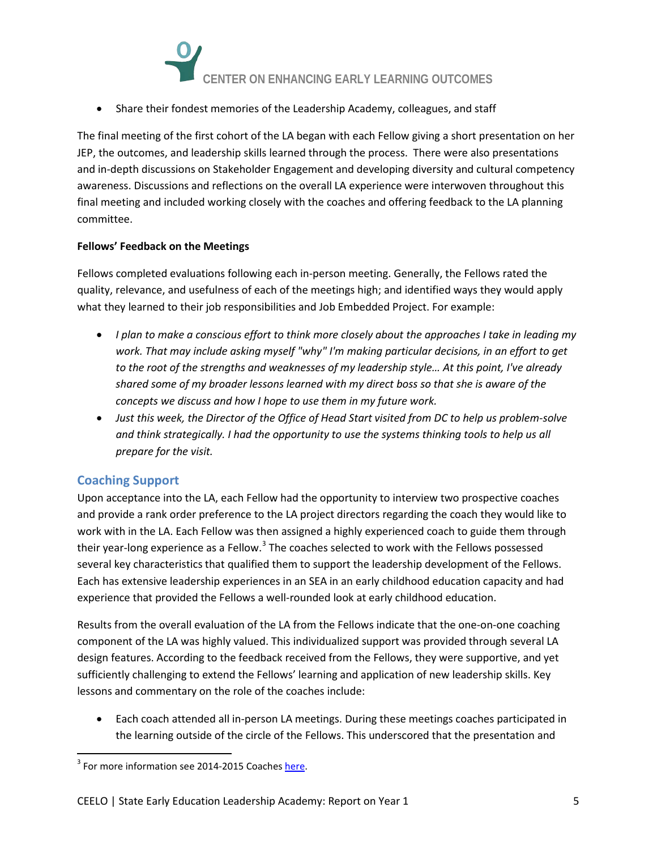

• Share their fondest memories of the Leadership Academy, colleagues, and staff

The final meeting of the first cohort of the LA began with each Fellow giving a short presentation on her JEP, the outcomes, and leadership skills learned through the process. There were also presentations and in-depth discussions on Stakeholder Engagement and developing diversity and cultural competency awareness. Discussions and reflections on the overall LA experience were interwoven throughout this final meeting and included working closely with the coaches and offering feedback to the LA planning committee.

### **Fellows' Feedback on the Meetings**

Fellows completed evaluations following each in-person meeting. Generally, the Fellows rated the quality, relevance, and usefulness of each of the meetings high; and identified ways they would apply what they learned to their job responsibilities and Job Embedded Project. For example:

- *I plan to make a conscious effort to think more closely about the approaches I take in leading my work. That may include asking myself "why" I'm making particular decisions, in an effort to get to the root of the strengths and weaknesses of my leadership style… At this point, I've already shared some of my broader lessons learned with my direct boss so that she is aware of the concepts we discuss and how I hope to use them in my future work.*
- *Just this week, the Director of the Office of Head Start visited from DC to help us problem-solve and think strategically. I had the opportunity to use the systems thinking tools to help us all prepare for the visit.*

### **Coaching Support**

Upon acceptance into the LA, each Fellow had the opportunity to interview two prospective coaches and provide a rank order preference to the LA project directors regarding the coach they would like to work with in the LA. Each Fellow was then assigned a highly experienced coach to guide them through their year-long experience as a Fellow.<sup>[3](#page-4-0)</sup> The coaches selected to work with the Fellows possessed several key characteristics that qualified them to support the leadership development of the Fellows. Each has extensive leadership experiences in an SEA in an early childhood education capacity and had experience that provided the Fellows a well-rounded look at early childhood education.

Results from the overall evaluation of the LA from the Fellows indicate that the one-on-one coaching component of the LA was highly valued. This individualized support was provided through several LA design features. According to the feedback received from the Fellows, they were supportive, and yet sufficiently challenging to extend the Fellows' learning and application of new leadership skills. Key lessons and commentary on the role of the coaches include:

• Each coach attended all in-person LA meetings. During these meetings coaches participated in the learning outside of the circle of the Fellows. This underscored that the presentation and

<span id="page-4-0"></span><sup>&</sup>lt;sup>3</sup> For more information see 2014-2015 Coache[s here.](http://ceelo.org/2014-15academy-cohort/)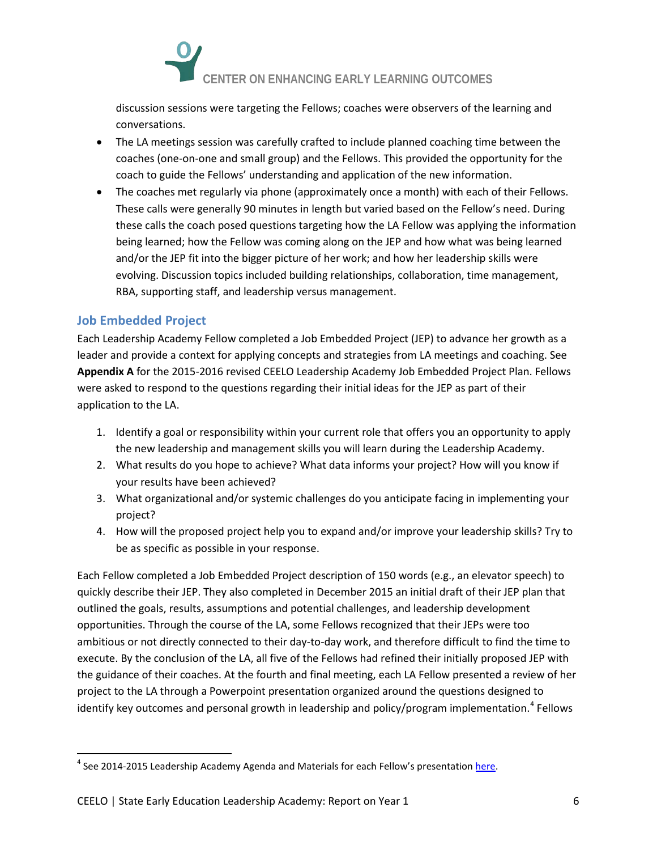

discussion sessions were targeting the Fellows; coaches were observers of the learning and conversations.

- The LA meetings session was carefully crafted to include planned coaching time between the coaches (one-on-one and small group) and the Fellows. This provided the opportunity for the coach to guide the Fellows' understanding and application of the new information.
- The coaches met regularly via phone (approximately once a month) with each of their Fellows. These calls were generally 90 minutes in length but varied based on the Fellow's need. During these calls the coach posed questions targeting how the LA Fellow was applying the information being learned; how the Fellow was coming along on the JEP and how what was being learned and/or the JEP fit into the bigger picture of her work; and how her leadership skills were evolving. Discussion topics included building relationships, collaboration, time management, RBA, supporting staff, and leadership versus management.

## **Job Embedded Project**

Each Leadership Academy Fellow completed a Job Embedded Project (JEP) to advance her growth as a leader and provide a context for applying concepts and strategies from LA meetings and coaching. See **Appendix A** for the 2015-2016 revised CEELO Leadership Academy Job Embedded Project Plan. Fellows were asked to respond to the questions regarding their initial ideas for the JEP as part of their application to the LA.

- 1. Identify a goal or responsibility within your current role that offers you an opportunity to apply the new leadership and management skills you will learn during the Leadership Academy.
- 2. What results do you hope to achieve? What data informs your project? How will you know if your results have been achieved?
- 3. What organizational and/or systemic challenges do you anticipate facing in implementing your project?
- 4. How will the proposed project help you to expand and/or improve your leadership skills? Try to be as specific as possible in your response.

Each Fellow completed a Job Embedded Project description of 150 words (e.g., an elevator speech) to quickly describe their JEP. They also completed in December 2015 an initial draft of their JEP plan that outlined the goals, results, assumptions and potential challenges, and leadership development opportunities. Through the course of the LA, some Fellows recognized that their JEPs were too ambitious or not directly connected to their day-to-day work, and therefore difficult to find the time to execute. By the conclusion of the LA, all five of the Fellows had refined their initially proposed JEP with the guidance of their coaches. At the fourth and final meeting, each LA Fellow presented a review of her project to the LA through a Powerpoint presentation organized around the questions designed to identify key outcomes and personal growth in leadership and policy/program implementation.<sup>[4](#page-5-0)</sup> Fellows

<span id="page-5-0"></span><sup>&</sup>lt;sup>4</sup> See 2014-2015 Leadership Academy Agenda and Materials for each Fellow's presentation [here.](http://ceelo.org/2014-15academy-cohort/)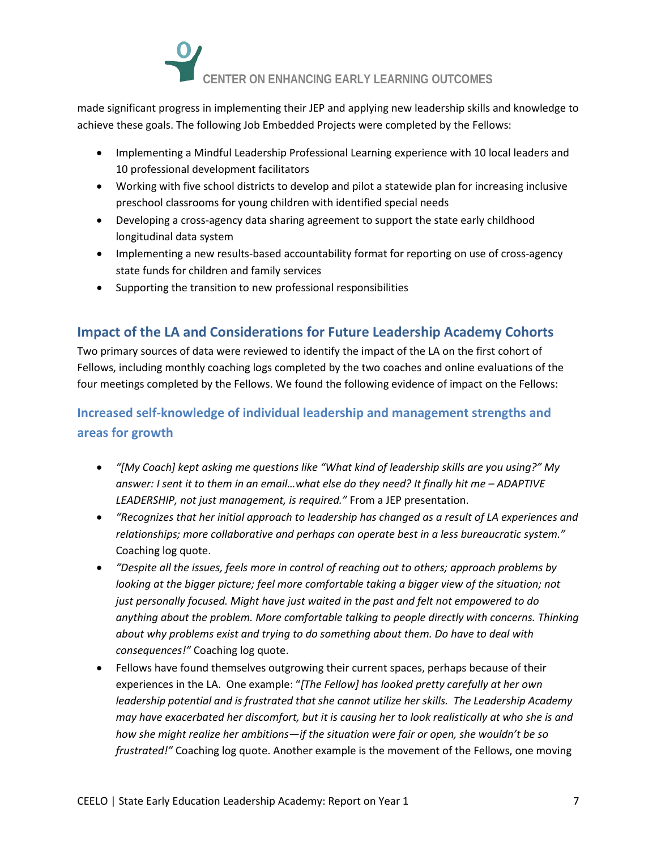

made significant progress in implementing their JEP and applying new leadership skills and knowledge to achieve these goals. The following Job Embedded Projects were completed by the Fellows:

- Implementing a Mindful Leadership Professional Learning experience with 10 local leaders and 10 professional development facilitators
- Working with five school districts to develop and pilot a statewide plan for increasing inclusive preschool classrooms for young children with identified special needs
- Developing a cross-agency data sharing agreement to support the state early childhood longitudinal data system
- Implementing a new results-based accountability format for reporting on use of cross-agency state funds for children and family services
- Supporting the transition to new professional responsibilities

# **Impact of the LA and Considerations for Future Leadership Academy Cohorts**

Two primary sources of data were reviewed to identify the impact of the LA on the first cohort of Fellows, including monthly coaching logs completed by the two coaches and online evaluations of the four meetings completed by the Fellows. We found the following evidence of impact on the Fellows:

# **Increased self-knowledge of individual leadership and management strengths and areas for growth**

- *"[My Coach] kept asking me questions like "What kind of leadership skills are you using?" My answer: I sent it to them in an email…what else do they need? It finally hit me – ADAPTIVE LEADERSHIP, not just management, is required."* From a JEP presentation.
- *"Recognizes that her initial approach to leadership has changed as a result of LA experiences and relationships; more collaborative and perhaps can operate best in a less bureaucratic system."* Coaching log quote.
- *"Despite all the issues, feels more in control of reaching out to others; approach problems by looking at the bigger picture; feel more comfortable taking a bigger view of the situation; not just personally focused. Might have just waited in the past and felt not empowered to do anything about the problem. More comfortable talking to people directly with concerns. Thinking about why problems exist and trying to do something about them. Do have to deal with consequences!"* Coaching log quote.
- Fellows have found themselves outgrowing their current spaces, perhaps because of their experiences in the LA. One example: "*[The Fellow] has looked pretty carefully at her own leadership potential and is frustrated that she cannot utilize her skills. The Leadership Academy may have exacerbated her discomfort, but it is causing her to look realistically at who she is and how she might realize her ambitions—if the situation were fair or open, she wouldn't be so frustrated!"* Coaching log quote. Another example is the movement of the Fellows, one moving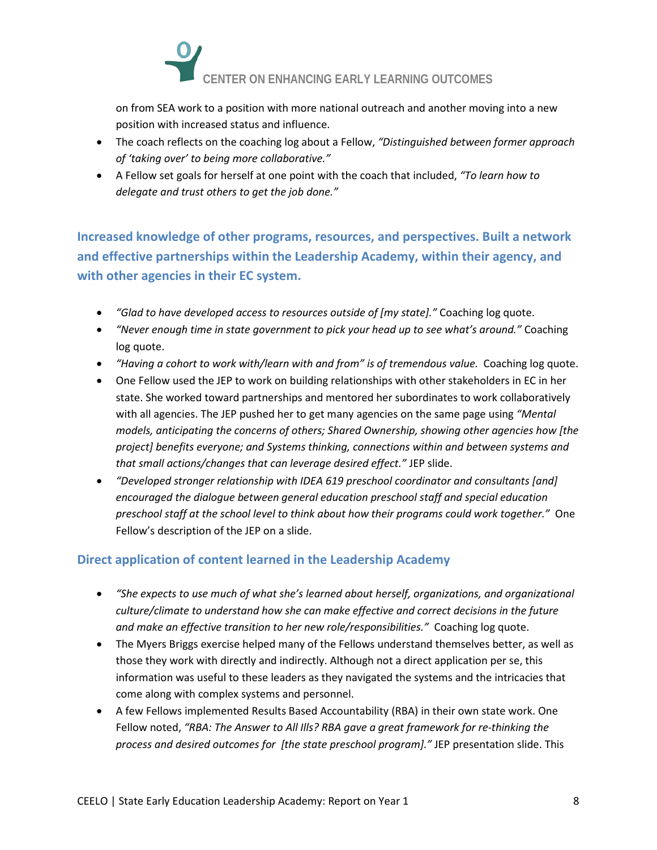

on from SEA work to a position with more national outreach and another moving into a new position with increased status and influence.

- The coach reflects on the coaching log about a Fellow, *"Distinguished between former approach of 'taking over' to being more collaborative."*
- A Fellow set goals for herself at one point with the coach that included, *"To learn how to delegate and trust others to get the job done."*

**Increased knowledge of other programs, resources, and perspectives. Built a network and effective partnerships within the Leadership Academy, within their agency, and with other agencies in their EC system.** 

- *"Glad to have developed access to resources outside of [my state]."* Coaching log quote.
- *"Never enough time in state government to pick your head up to see what's around."* Coaching log quote.
- *"Having a cohort to work with/learn with and from" is of tremendous value.* Coaching log quote.
- One Fellow used the JEP to work on building relationships with other stakeholders in EC in her state. She worked toward partnerships and mentored her subordinates to work collaboratively with all agencies. The JEP pushed her to get many agencies on the same page using *"Mental models, anticipating the concerns of others; Shared Ownership, showing other agencies how [the project] benefits everyone; and Systems thinking, connections within and between systems and that small actions/changes that can leverage desired effect."* JEP slide.
- *"Developed stronger relationship with IDEA 619 preschool coordinator and consultants [and] encouraged the dialogue between general education preschool staff and special education preschool staff at the school level to think about how their programs could work together."* One Fellow's description of the JEP on a slide.

## **Direct application of content learned in the Leadership Academy**

- *"She expects to use much of what she's learned about herself, organizations, and organizational culture/climate to understand how she can make effective and correct decisions in the future and make an effective transition to her new role/responsibilities."* Coaching log quote.
- The Myers Briggs exercise helped many of the Fellows understand themselves better, as well as those they work with directly and indirectly. Although not a direct application per se, this information was useful to these leaders as they navigated the systems and the intricacies that come along with complex systems and personnel.
- A few Fellows implemented Results Based Accountability (RBA) in their own state work. One Fellow noted, *"RBA: The Answer to All Ills? RBA gave a great framework for re-thinking the process and desired outcomes for [the state preschool program]."* JEP presentation slide. This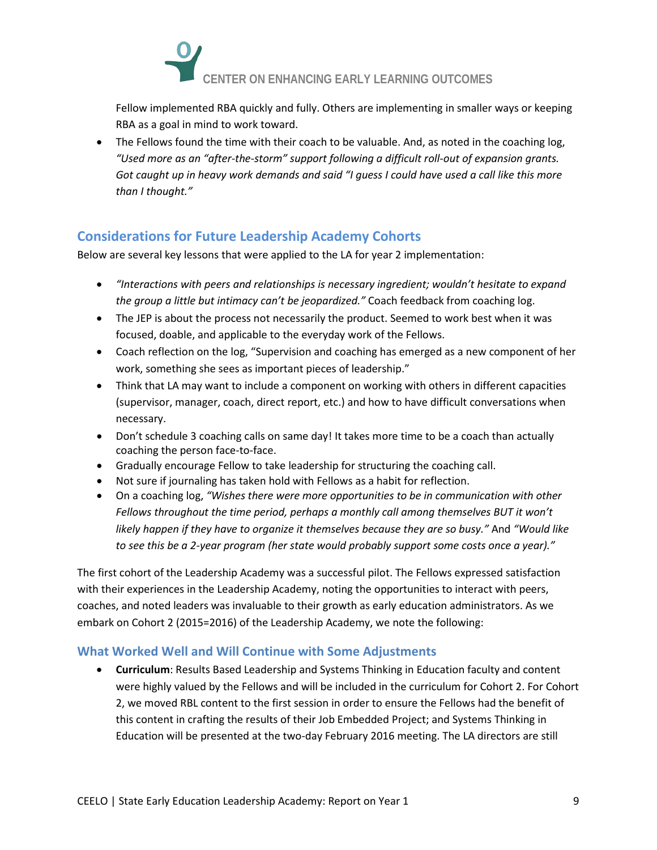

Fellow implemented RBA quickly and fully. Others are implementing in smaller ways or keeping RBA as a goal in mind to work toward.

• The Fellows found the time with their coach to be valuable. And, as noted in the coaching log, *"Used more as an "after-the-storm" support following a difficult roll-out of expansion grants. Got caught up in heavy work demands and said "I guess I could have used a call like this more than I thought."* 

# **Considerations for Future Leadership Academy Cohorts**

Below are several key lessons that were applied to the LA for year 2 implementation:

- *"Interactions with peers and relationships is necessary ingredient; wouldn't hesitate to expand the group a little but intimacy can't be jeopardized."* Coach feedback from coaching log.
- The JEP is about the process not necessarily the product. Seemed to work best when it was focused, doable, and applicable to the everyday work of the Fellows.
- Coach reflection on the log, "Supervision and coaching has emerged as a new component of her work, something she sees as important pieces of leadership."
- Think that LA may want to include a component on working with others in different capacities (supervisor, manager, coach, direct report, etc.) and how to have difficult conversations when necessary.
- Don't schedule 3 coaching calls on same day! It takes more time to be a coach than actually coaching the person face-to-face.
- Gradually encourage Fellow to take leadership for structuring the coaching call.
- Not sure if journaling has taken hold with Fellows as a habit for reflection.
- On a coaching log, *"Wishes there were more opportunities to be in communication with other*  Fellows throughout the time period, perhaps a monthly call among themselves BUT it won't *likely happen if they have to organize it themselves because they are so busy."* And *"Would like to see this be a 2-year program (her state would probably support some costs once a year)."*

The first cohort of the Leadership Academy was a successful pilot. The Fellows expressed satisfaction with their experiences in the Leadership Academy, noting the opportunities to interact with peers, coaches, and noted leaders was invaluable to their growth as early education administrators. As we embark on Cohort 2 (2015=2016) of the Leadership Academy, we note the following:

## **What Worked Well and Will Continue with Some Adjustments**

• **Curriculum**: Results Based Leadership and Systems Thinking in Education faculty and content were highly valued by the Fellows and will be included in the curriculum for Cohort 2. For Cohort 2, we moved RBL content to the first session in order to ensure the Fellows had the benefit of this content in crafting the results of their Job Embedded Project; and Systems Thinking in Education will be presented at the two-day February 2016 meeting. The LA directors are still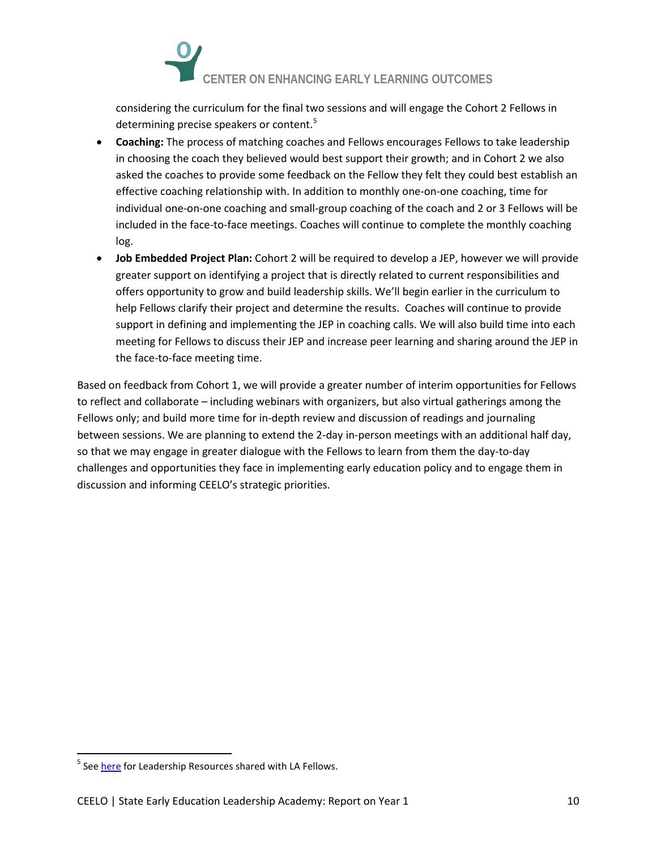

considering the curriculum for the final two sessions and will engage the Cohort 2 Fellows in determining precise speakers or content.<sup>[5](#page-9-0)</sup>

- **Coaching:** The process of matching coaches and Fellows encourages Fellows to take leadership in choosing the coach they believed would best support their growth; and in Cohort 2 we also asked the coaches to provide some feedback on the Fellow they felt they could best establish an effective coaching relationship with. In addition to monthly one-on-one coaching, time for individual one-on-one coaching and small-group coaching of the coach and 2 or 3 Fellows will be included in the face-to-face meetings. Coaches will continue to complete the monthly coaching log.
- **Job Embedded Project Plan:** Cohort 2 will be required to develop a JEP, however we will provide greater support on identifying a project that is directly related to current responsibilities and offers opportunity to grow and build leadership skills. We'll begin earlier in the curriculum to help Fellows clarify their project and determine the results. Coaches will continue to provide support in defining and implementing the JEP in coaching calls. We will also build time into each meeting for Fellows to discuss their JEP and increase peer learning and sharing around the JEP in the face-to-face meeting time.

Based on feedback from Cohort 1, we will provide a greater number of interim opportunities for Fellows to reflect and collaborate – including webinars with organizers, but also virtual gatherings among the Fellows only; and build more time for in-depth review and discussion of readings and journaling between sessions. We are planning to extend the 2-day in-person meetings with an additional half day, so that we may engage in greater dialogue with the Fellows to learn from them the day-to-day challenges and opportunities they face in implementing early education policy and to engage them in discussion and informing CEELO's strategic priorities.

<span id="page-9-0"></span><sup>&</sup>lt;sup>5</sup> See [here](http://ceelo.org/2015-16-leadership-academy-cohort-2/) for Leadership Resources shared with LA Fellows.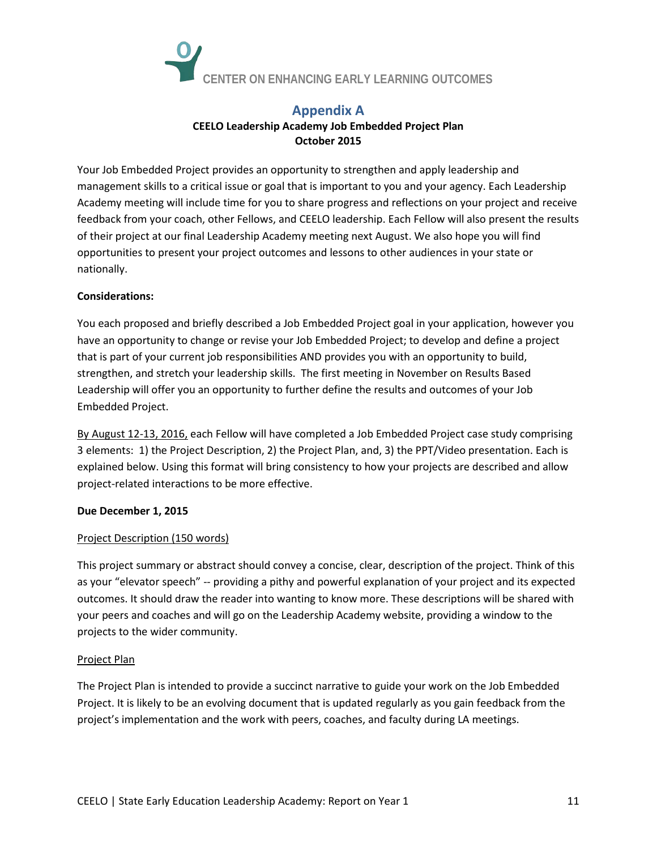

## **Appendix A CEELO Leadership Academy Job Embedded Project Plan October 2015**

Your Job Embedded Project provides an opportunity to strengthen and apply leadership and management skills to a critical issue or goal that is important to you and your agency. Each Leadership Academy meeting will include time for you to share progress and reflections on your project and receive feedback from your coach, other Fellows, and CEELO leadership. Each Fellow will also present the results of their project at our final Leadership Academy meeting next August. We also hope you will find opportunities to present your project outcomes and lessons to other audiences in your state or nationally.

### **Considerations:**

You each proposed and briefly described a Job Embedded Project goal in your application, however you have an opportunity to change or revise your Job Embedded Project; to develop and define a project that is part of your current job responsibilities AND provides you with an opportunity to build, strengthen, and stretch your leadership skills. The first meeting in November on Results Based Leadership will offer you an opportunity to further define the results and outcomes of your Job Embedded Project.

By August 12-13, 2016, each Fellow will have completed a Job Embedded Project case study comprising 3 elements: 1) the Project Description, 2) the Project Plan, and, 3) the PPT/Video presentation. Each is explained below. Using this format will bring consistency to how your projects are described and allow project-related interactions to be more effective.

### **Due December 1, 2015**

### Project Description (150 words)

This project summary or abstract should convey a concise, clear, description of the project. Think of this as your "elevator speech" -- providing a pithy and powerful explanation of your project and its expected outcomes. It should draw the reader into wanting to know more. These descriptions will be shared with your peers and coaches and will go on the Leadership Academy website, providing a window to the projects to the wider community.

### Project Plan

The Project Plan is intended to provide a succinct narrative to guide your work on the Job Embedded Project. It is likely to be an evolving document that is updated regularly as you gain feedback from the project's implementation and the work with peers, coaches, and faculty during LA meetings.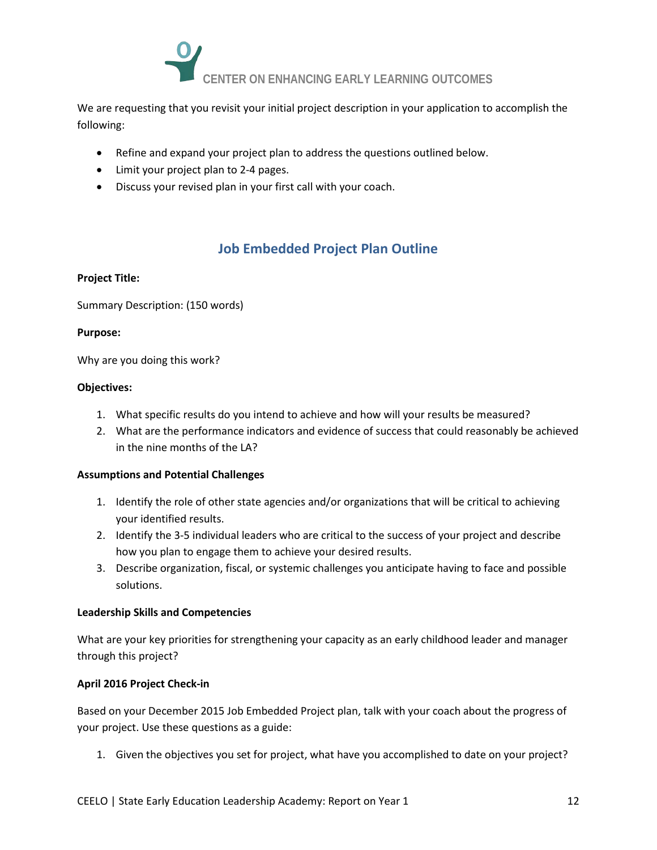

We are requesting that you revisit your initial project description in your application to accomplish the following:

- Refine and expand your project plan to address the questions outlined below.
- Limit your project plan to 2-4 pages.
- Discuss your revised plan in your first call with your coach.

# **Job Embedded Project Plan Outline**

#### **Project Title:**

Summary Description: (150 words)

#### **Purpose:**

Why are you doing this work?

#### **Objectives:**

- 1. What specific results do you intend to achieve and how will your results be measured?
- 2. What are the performance indicators and evidence of success that could reasonably be achieved in the nine months of the LA?

### **Assumptions and Potential Challenges**

- 1. Identify the role of other state agencies and/or organizations that will be critical to achieving your identified results.
- 2. Identify the 3-5 individual leaders who are critical to the success of your project and describe how you plan to engage them to achieve your desired results.
- 3. Describe organization, fiscal, or systemic challenges you anticipate having to face and possible solutions.

### **Leadership Skills and Competencies**

What are your key priorities for strengthening your capacity as an early childhood leader and manager through this project?

### **April 2016 Project Check-in**

Based on your December 2015 Job Embedded Project plan, talk with your coach about the progress of your project. Use these questions as a guide:

1. Given the objectives you set for project, what have you accomplished to date on your project?